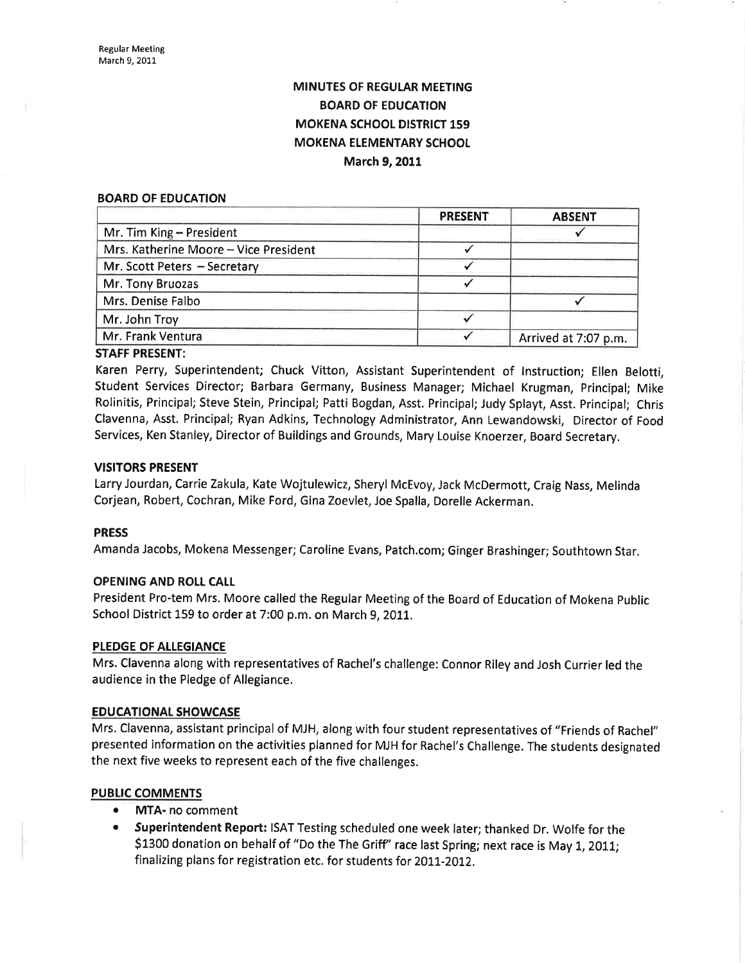## MINUTES OF REGULAR MEETING BOARD OF EDUCATION MOKENA SCHOOL DISTRICT 159 MOKENA ELEMENTARY SCHOOL March 9, 2011

#### BOARD OF EDUCATION

| <b>ABSENT</b>        |
|----------------------|
|                      |
|                      |
|                      |
|                      |
|                      |
|                      |
| Arrived at 7:07 p.m. |
|                      |

#### STAFF PRESENT:

Karen Perry, Superintendent; Chuck Vitton, Assistant Superintendent of lnstruction; Ellen Belotti, Student Services Director; Barbara Germany, Business Manager; Michael Krugman, Principal; Mike Rolinitis, Principal; Steve Stein, Principal; Patti Bogdan, Asst. Principal; Judy Splayt, Asst. Principal; Chris Clavenna, Asst. Principal; Ryan Adkins, Technology Adminístrator, Ann Lewandowski, Director of Food Services, Ken Stanley, Director of Buildings and Grounds, Mary Louise Knoerzer, Board Secretary.

#### VISITORS PRESENT

Larry Jourdan, Carrie Zakula, Kate Wojtulewicz, Sheryl McEvoy, Jack McDermott, Craig Nass, Melinda Corjean, Robert, Cochran, Mike Ford, Gina Zoevlet, Joe Spalla, Dorelle Ackerman.

#### PRESS

Amanda Jacobs, Mokena Messenger; Caroline Evans, Patch.com; Ginger Brashinger; Southtown Star.

#### OPENING AND ROLL CAIL

President Pro-tem Mrs. Moore called the Regular Meeting of the Board of Education of Mokena public School District 159 to order at 7:00 p.m. on March 9, 2011.

#### PLEDGE OF ALLEGIANCE

Mrs. Clavenna along with representatives of Rachel's challenge: Connor Riley and Josh Currier led the audience in the Pledge of Allegiance.

#### **EDUCATIONAL SHOWCASE**

Mrs. Clavenna, assistant principal of MJH, along with four student representatives of "Friends of Rachel" presented information on the activities planned for MJH for Rachel's Challenge. The students designated the next five weeks to represent each of the five challenges.

#### PUBLIC COMMENTS

- MTA- no comment
- **Superintendent Report: ISAT Testing scheduled one week later; thanked Dr. Wolfe for the** \$1300 donation on behalf of "Do the The Griff" race last Spring; next race is May 1, 2011; finalizing plans for registration etc. for students for 2011-2012.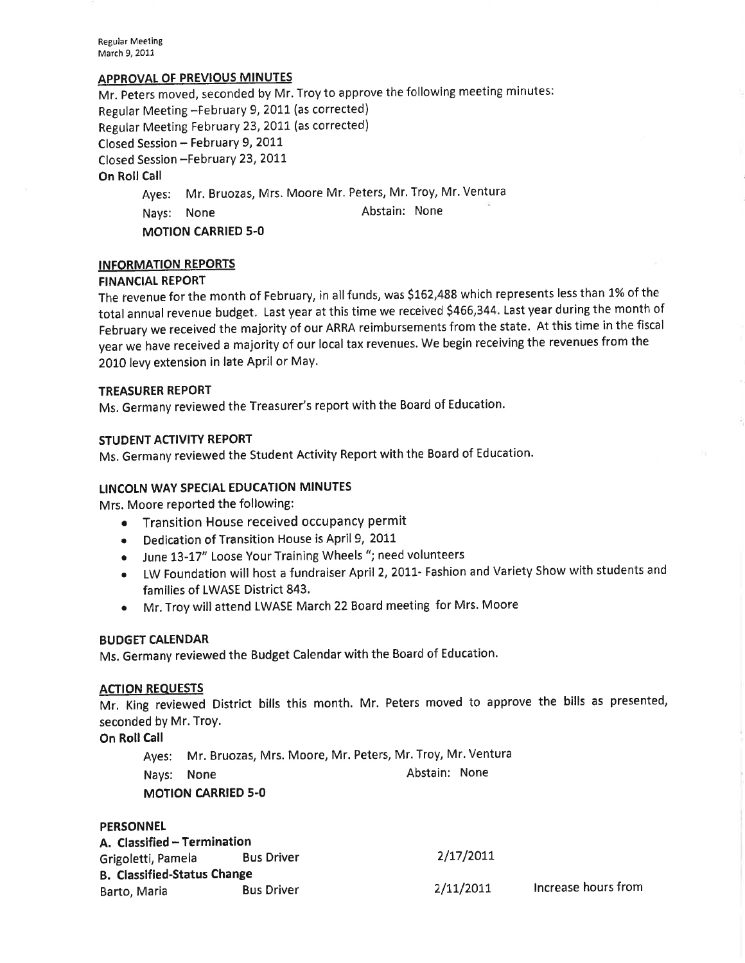Regular Meeting March 9, 2011

#### APPROVAL OF PREVIOUS MINUTES

Mr. Peters moved, seconded by Mr. Troy to approve the following meeting minutes: Regular Meeting -February 9, 2011 (as corrected) Regular Meeting February 23, 2011 (as corrected) Closed Session - February 9, 2011 Closed Session -February 23, 2011 On Roll Call Ayes: Mr. Bruozas, Mrs. Moore Mr. Peters, Mr. Troy, Mr. Ventura Nays: None Abstain: None MOTION CARRIED 5-O

#### INFORMATION REPORTS

#### **FINANCIAL REPORT**

The revenue for the month of February, in all funds, was 5162,488 which represents less than 1% of the total annual revenue budget. Last year at this time we received 5466,344. Last year during the month of February we received the majority of our ARRA reimbursements from the state. At this time in the fiscal year we have received a majority of our local tax revenues. We begin receiving the revenues from the 2010 levy extension in late April or May.

#### TREASURER REPORT

Ms. Germany reviewed the Treasurer's report with the Board of Education.

#### STUDENT ACTIVITY REPORT

Ms. Germany reviewed the Student Activity Report with the Board of Education.

#### LINCOLN WAY SPECIAL EDUCATION MINUTES

Mrs. Moore reported the following:

- ¡ Transition House received occupancy permit
- Dedication of Transition House is April 9, 2011
- o June 13-17" Loose YourTraining Wheels "; need volunteers
- ¡ LW Foundation will host a fundraiser April 2, 2011- Fashion and Variety Show with students and families of LWASE District 843.
- o Mr. Troy will attend LWASE March 22Board meeting for Mrs. Moore

#### BUDGET CALENDAR

Ms. Germany reviewed the Budget Calendar with the Board of Education.

#### ACTION REQUESTS

Mr. King reviewed District bills this month. Mr. Peters moved to approve the bills as presented, seconded by Mr. TroY.

On Roll Call

Ayes: Mr. Bruozas, Mrs. Moore, Mr, Peters, Mr. Troy, Mr. Ventura Nays: None MOTION CARRIED 5.0 Abstain: None

#### **PERSONNEL**

| A. Classified - Termination        |                   |           |                     |  |  |
|------------------------------------|-------------------|-----------|---------------------|--|--|
| Grigoletti, Pamela                 | <b>Bus Driver</b> | 2/17/2011 |                     |  |  |
| <b>B. Classified-Status Change</b> |                   |           |                     |  |  |
| Barto, Maria                       | <b>Bus Driver</b> | 2/11/2011 | Increase hours from |  |  |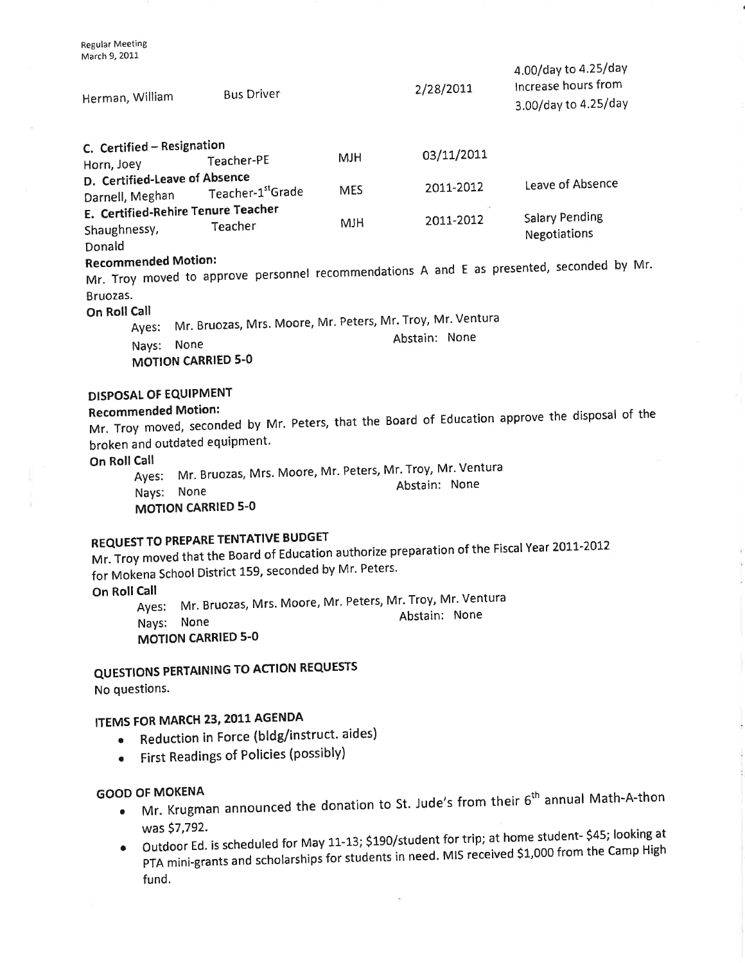| Herman, William                                  | <b>Bus Driver</b>                                                                               |            | 2/28/2011     | 4.00/day to 4.25/day<br>Increase hours from<br>3.00/day to 4.25/day                       |
|--------------------------------------------------|-------------------------------------------------------------------------------------------------|------------|---------------|-------------------------------------------------------------------------------------------|
| C. Certified - Resignation<br>Horn, Joey         | Teacher-PE                                                                                      | <b>MJH</b> | 03/11/2011    |                                                                                           |
| D. Certified-Leave of Absence<br>Darnell, Meghan | Teacher-1stGrade                                                                                | <b>MES</b> | 2011-2012     | Leave of Absence                                                                          |
| Shaughnessy,<br>Donald                           | E. Certified-Rehire Tenure Teacher<br>Teacher                                                   | <b>HLM</b> | 2011-2012     | <b>Salary Pending</b><br><b>Negotiations</b>                                              |
| <b>Recommended Motion:</b><br>Bruozas.           |                                                                                                 |            |               | Mr. Troy moved to approve personnel recommendations A and E as presented, seconded by Mr. |
| On Roll Call<br>Ayes:<br>Nays:                   | Mr. Bruozas, Mrs. Moore, Mr. Peters, Mr. Troy, Mr. Ventura<br>None<br><b>MOTION CARRIED 5-0</b> |            | Abstain: None |                                                                                           |

# DISPOSAL OF EQUIPMENT<br>Recommended Motion:

### Recommended Motion:

R**ecommended Motion:**<br>Mr. Troy moved, seconded by Mr. Peters, that the Board of Education approve the disposal of the broken and outdated equipment.

On Roll Call

ست.<br>Ayes: Mr. Bruozas, Mrs. Moore, Mr. Peters, Mr. Troy, Mr. Ventura NaYs: None MOTION CARRIED 5-O Abstain: None

# REQUEST TO PREPARE TENTATIVE BUDGET

Mr. Troy moved that the Board of Education authorize preparation of the Fiscal Year 2011-2012 for Mokena School District 159, seconded by Mr. Peters.

On Roll Call

Ayes: Mr' Bruozas, Mrs' Moore' Mr' Peters' Mr' Troy' Mr' Ventura NaYs: None Abstain: None MOTION CARRIED 5.0

QUESTIONS PERTAINING TO ACTION REqUESTS

No questions.

# ITEMS FOR MARCH 23, 2011 AGENDA

- Reduction in Force (bldg/instruct. aides)
- ¡ First Readings of Policies (possibly)

### GOOD OF MOKENA

- Mr. Krugman announced the donation to St. Jude's from their  $6<sup>th</sup>$  annual Math-A-thon
- was \$7,792.<br>Outdoor Ed. is scheduled for May 11-13; \$190/student for trip; at home student- \$45; looking at Outdoor Ed. is scheduled for May 11-13; \$190/student for trip; at home student- \$45; looking at PTA mini-grants and scholarships for students in need. MIS received \$1,000 from the Camp High fund.